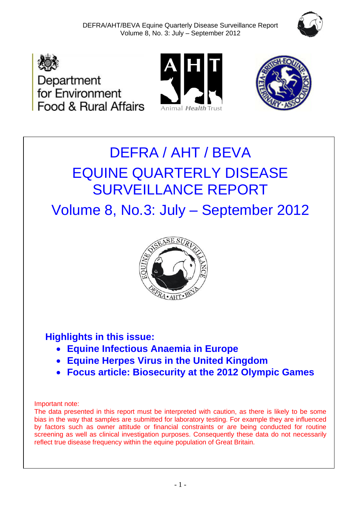







# DEFRA / AHT / BEVA EQUINE QUARTERLY DISEASE SURVEILLANCE REPORT

Volume 8, No.3: July – September 2012



## **Highlights in this issue:**

- **Equine Infectious Anaemia in Europe**
- **Equine Herpes Virus in the United Kingdom**
- **Focus article: Biosecurity at the 2012 Olympic Games**

#### Important note:

The data presented in this report must be interpreted with caution, as there is likely to be some bias in the way that samples are submitted for laboratory testing. For example they are influenced by factors such as owner attitude or financial constraints or are being conducted for routine screening as well as clinical investigation purposes. Consequently these data do not necessarily reflect true disease frequency within the equine population of Great Britain.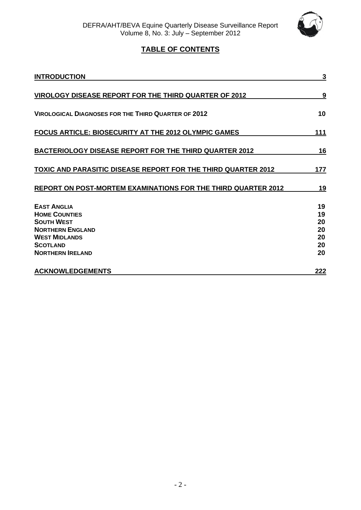

## **TABLE OF CONTENTS**

| <b>INTRODUCTION</b>                                                                                                                                              | 3                                      |
|------------------------------------------------------------------------------------------------------------------------------------------------------------------|----------------------------------------|
| <b>VIROLOGY DISEASE REPORT FOR THE THIRD QUARTER OF 2012</b>                                                                                                     | 9                                      |
| <b>VIROLOGICAL DIAGNOSES FOR THE THIRD QUARTER OF 2012</b>                                                                                                       | 10                                     |
| FOCUS ARTICLE: BIOSECURITY AT THE 2012 OLYMPIC GAMES                                                                                                             | 111                                    |
| <b>BACTERIOLOGY DISEASE REPORT FOR THE THIRD QUARTER 2012</b>                                                                                                    | <u>16</u>                              |
| TOXIC AND PARASITIC DISEASE REPORT FOR THE THIRD QUARTER 2012                                                                                                    | 177                                    |
| REPORT ON POST-MORTEM EXAMINATIONS FOR THE THIRD QUARTER 2012                                                                                                    | 19                                     |
| <b>EAST ANGLIA</b><br><b>HOME COUNTIES</b><br><b>SOUTH WEST</b><br><b>NORTHERN ENGLAND</b><br><b>WEST MIDLANDS</b><br><b>SCOTLAND</b><br><b>NORTHERN IRELAND</b> | 19<br>19<br>20<br>20<br>20<br>20<br>20 |
| <b>ACKNOWLEDGEMENTS</b>                                                                                                                                          | <u> 222</u>                            |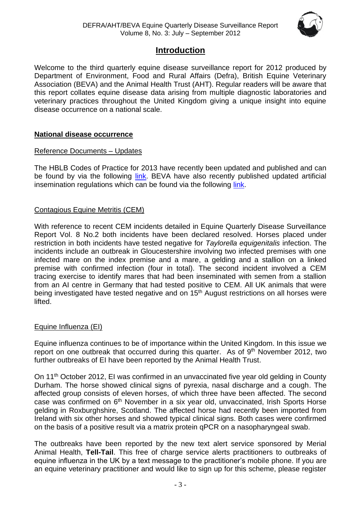

## **Introduction**

Welcome to the third quarterly equine disease surveillance report for 2012 produced by Department of Environment, Food and Rural Affairs (Defra), British Equine Veterinary Association (BEVA) and the Animal Health Trust (AHT). Regular readers will be aware that this report collates equine disease data arising from multiple diagnostic laboratories and veterinary practices throughout the United Kingdom giving a unique insight into equine disease occurrence on a national scale.

#### **National disease occurrence**

#### Reference Documents – Updates

The HBLB Codes of Practice for 2013 have recently been updated and published and can be found by via the following [link.](http://codes.hblb.org.uk/) BEVA have also recently published updated artificial insemination regulations which can be found via the following [link.](http://www.beva.org.uk/_uploads/documents/1beva-ai-guide-revised-12.pdf)

#### Contagious Equine Metritis (CEM)

With reference to recent CEM incidents detailed in Equine Quarterly Disease Surveillance Report Vol. 8 No.2 both incidents have been declared resolved. Horses placed under restriction in both incidents have tested negative for *Taylorella equigenitalis* infection. The incidents include an outbreak in Gloucestershire involving two infected premises with one infected mare on the index premise and a mare, a gelding and a stallion on a linked premise with confirmed infection (four in total). The second incident involved a CEM tracing exercise to identify mares that had been inseminated with semen from a stallion from an AI centre in Germany that had tested positive to CEM. All UK animals that were being investigated have tested negative and on 15<sup>th</sup> August restrictions on all horses were lifted.

#### Equine Influenza (EI)

Equine influenza continues to be of importance within the United Kingdom. In this issue we report on one outbreak that occurred during this quarter. As of 9<sup>th</sup> November 2012, two further outbreaks of EI have been reported by the Animal Health Trust.

On 11<sup>th</sup> October 2012, EI was confirmed in an unvaccinated five year old gelding in County Durham. The horse showed clinical signs of pyrexia, nasal discharge and a cough. The affected group consists of eleven horses, of which three have been affected. The second case was confirmed on 6<sup>th</sup> November in a six year old, unvaccinated, Irish Sports Horse gelding in Roxburghshire, Scotland. The affected horse had recently been imported from Ireland with six other horses and showed typical clinical signs. Both cases were confirmed on the basis of a positive result via a matrix protein qPCR on a nasopharyngeal swab.

The outbreaks have been reported by the new text alert service sponsored by Merial Animal Health, **Tell-Tail**. This free of charge service alerts practitioners to outbreaks of equine influenza in the UK by a text message to the practitioner's mobile phone. If you are an equine veterinary practitioner and would like to sign up for this scheme, please register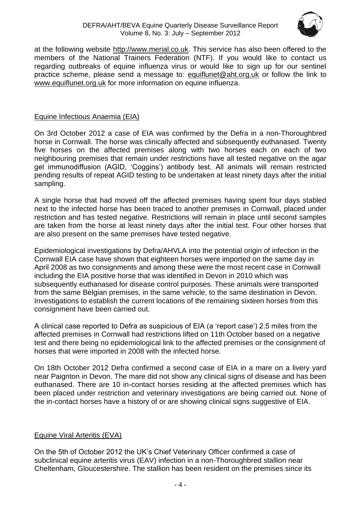#### DEFRA/AHT/BEVA Equine Quarterly Disease Surveillance Report Volume 8, No. 3: July – September 2012



at the following website [http://www.merial.co.uk.](http://www.merial.co.uk/) This service has also been offered to the members of the National Trainers Federation (NTF). If you would like to contact us regarding outbreaks of equine influenza virus or would like to sign up for our sentinel practice scheme, please send a message to: [equiflunet@aht.org.uk](mailto:equiflunet@aht.org.uk) or follow the link to [www.equiflunet.org.uk](http://www.equiflunet.org.uk/) for more information on equine influenza.

#### Equine Infectious Anaemia (EIA)

On 3rd October 2012 a case of EIA was confirmed by the Defra in a non-Thoroughbred horse in Cornwall. The horse was clinically affected and subsequently euthanased. Twenty five horses on the affected premises along with two horses each on each of two neighbouring premises that remain under restrictions have all tested negative on the agar gel immunodiffusion (AGID, 'Coggins') antibody test. All animals will remain restricted pending results of repeat AGID testing to be undertaken at least ninety days after the initial sampling.

A single horse that had moved off the affected premises having spent four days stabled next to the infected horse has been traced to another premises in Cornwall, placed under restriction and has tested negative. Restrictions will remain in place until second samples are taken from the horse at least ninety days after the initial test. Four other horses that are also present on the same premises have tested negative.

Epidemiological investigations by Defra/AHVLA into the potential origin of infection in the Cornwall EIA case have shown that eighteen horses were imported on the same day in April 2008 as two consignments and among these were the most recent case in Cornwall including the EIA positive horse that was identified in Devon in 2010 which was subsequently euthanased for disease control purposes. These animals were transported from the same Belgian premises, in the same vehicle, to the same destination in Devon. Investigations to establish the current locations of the remaining sixteen horses from this consignment have been carried out.

A clinical case reported to Defra as suspicious of EIA (a 'report case') 2.5 miles from the affected premises in Cornwall had restrictions lifted on 11th October based on a negative test and there being no epidemiological link to the affected premises or the consignment of horses that were imported in 2008 with the infected horse.

On 18th October 2012 Defra confirmed a second case of EIA in a mare on a livery yard near Paignton in Devon. The mare did not show any clinical signs of disease and has been euthanased. There are 10 in-contact horses residing at the affected premises which has been placed under restriction and veterinary investigations are being carried out. None of the in-contact horses have a history of or are showing clinical signs suggestive of EIA.

#### Equine Viral Arteritis (EVA)

On the 5th of October 2012 the UK's Chief Veterinary Officer confirmed a case of subclinical equine arteritis virus (EAV) infection in a non-Thoroughbred stallion near Cheltenham, Gloucestershire. The stallion has been resident on the premises since its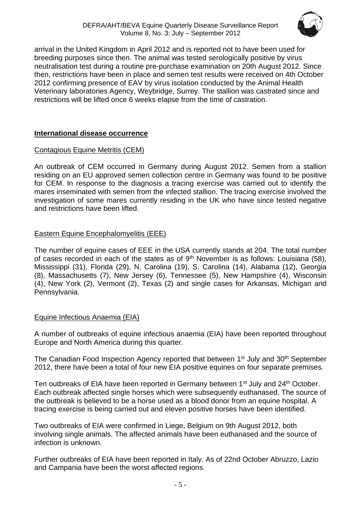

arrival in the United Kingdom in April 2012 and is reported not to have been used for breeding purposes since then. The animal was tested serologically positive by virus neutralisation test during a routine pre-purchase examination on 20th August 2012. Since then, restrictions have been in place and semen test results were received on 4th October 2012 confirming presence of EAV by virus isolation conducted by the Animal Health Veterinary laboratories Agency, Weybridge, Surrey. The stallion was castrated since and restrictions will be lifted once 6 weeks elapse from the time of castration.

#### **International disease occurrence**

#### Contagious Equine Metritis (CEM)

An outbreak of CEM occurred in Germany during August 2012. Semen from a stallion residing on an EU approved semen collection centre in Germany was found to be positive for CEM. In response to the diagnosis a tracing exercise was carried out to identify the mares inseminated with semen from the infected stallion. The tracing exercise involved the investigation of some mares currently residing in the UK who have since tested negative and restrictions have been lifted.

#### Eastern Equine Encephalomyelitis (EEE)

The number of equine cases of EEE in the USA currently stands at 204. The total number of cases recorded in each of the states as of  $9<sup>th</sup>$  November is as follows: Louisiana (58), Mississippi (31), Florida (29), N. Carolina (19), S. Carolina (14), Alabama (12), Georgia (8), Massachusetts (7), New Jersey (6), Tennessee (5), New Hampshire (4), Wisconsin (4), New York (2), Vermont (2), Texas (2) and single cases for Arkansas, Michigan and Pennsylvania.

#### Equine Infectious Anaemia (EIA)

A number of outbreaks of equine infectious anaemia (EIA) have been reported throughout Europe and North America during this quarter.

The Canadian Food Inspection Agency reported that between 1<sup>st</sup> July and 30<sup>th</sup> September 2012, there have been a total of four new EIA positive equines on four separate premises.

Ten outbreaks of EIA have been reported in Germany between 1<sup>st</sup> July and 24<sup>th</sup> October. Each outbreak affected single horses which were subsequently euthanased. The source of the outbreak is believed to be a horse used as a blood donor from an equine hospital. A tracing exercise is being carried out and eleven positive horses have been identified.

Two outbreaks of EIA were confirmed in Liege, Belgium on 9th August 2012, both involving single animals. The affected animals have been euthanased and the source of infection is unknown.

Further outbreaks of EIA have been reported in Italy. As of 22nd October Abruzzo, Lazio and Campania have been the worst affected regions.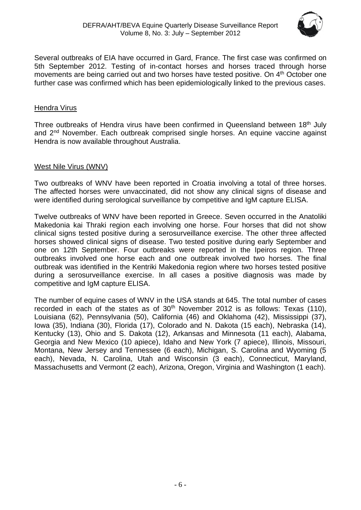

Several outbreaks of EIA have occurred in Gard, France. The first case was confirmed on 5th September 2012. Testing of in-contact horses and horses traced through horse movements are being carried out and two horses have tested positive. On 4<sup>th</sup> October one further case was confirmed which has been epidemiologically linked to the previous cases.

#### Hendra Virus

Three outbreaks of Hendra virus have been confirmed in Queensland between 18<sup>th</sup> July and 2<sup>nd</sup> November. Each outbreak comprised single horses. An equine vaccine against Hendra is now available throughout Australia.

#### West Nile Virus (WNV)

Two outbreaks of WNV have been reported in Croatia involving a total of three horses. The affected horses were unvaccinated, did not show any clinical signs of disease and were identified during serological surveillance by competitive and IgM capture ELISA.

Twelve outbreaks of WNV have been reported in Greece. Seven occurred in the Anatoliki Makedonia kai Thraki region each involving one horse. Four horses that did not show clinical signs tested positive during a serosurveillance exercise. The other three affected horses showed clinical signs of disease. Two tested positive during early September and one on 12th September. Four outbreaks were reported in the Ipeiros region. Three outbreaks involved one horse each and one outbreak involved two horses. The final outbreak was identified in the Kentriki Makedonia region where two horses tested positive during a serosurveillance exercise. In all cases a positive diagnosis was made by competitive and IgM capture ELISA.

The number of equine cases of WNV in the USA stands at 645. The total number of cases recorded in each of the states as of  $30<sup>th</sup>$  November 2012 is as follows: Texas (110), Louisiana (62), Pennsylvania (50), California (46) and Oklahoma (42), Mississippi (37), Iowa (35), Indiana (30), Florida (17), Colorado and N. Dakota (15 each), Nebraska (14), Kentucky (13), Ohio and S. Dakota (12), Arkansas and Minnesota (11 each), Alabama, Georgia and New Mexico (10 apiece), Idaho and New York (7 apiece), Illinois, Missouri, Montana, New Jersey and Tennessee (6 each), Michigan, S. Carolina and Wyoming (5 each), Nevada, N. Carolina, Utah and Wisconsin (3 each), Connecticut, Maryland, Massachusetts and Vermont (2 each), Arizona, Oregon, Virginia and Washington (1 each).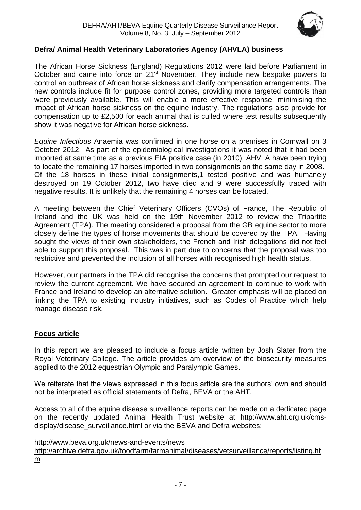

#### **Defra/ Animal Health Veterinary Laboratories Agency (AHVLA) business**

The African Horse Sickness (England) Regulations 2012 were laid before Parliament in October and came into force on 21<sup>st</sup> November. They include new bespoke powers to control an outbreak of African horse sickness and clarify compensation arrangements. The new controls include fit for purpose control zones, providing more targeted controls than were previously available. This will enable a more effective response, minimising the impact of African horse sickness on the equine industry. The regulations also provide for compensation up to £2,500 for each animal that is culled where test results subsequently show it was negative for African horse sickness.

*Equine Infectious* Anaemia was confirmed in one horse on a premises in Cornwall on 3 October 2012. As part of the epidemiological investigations it was noted that it had been imported at same time as a previous EIA positive case (in 2010). AHVLA have been trying to locate the remaining 17 horses imported in two consignments on the same day in 2008. Of the 18 horses in these initial consignments,1 tested positive and was humanely destroyed on 19 October 2012, two have died and 9 were successfully traced with negative results. It is unlikely that the remaining 4 horses can be located.

A meeting between the Chief Veterinary Officers (CVOs) of France, The Republic of Ireland and the UK was held on the 19th November 2012 to review the Tripartite Agreement (TPA). The meeting considered a proposal from the GB equine sector to more closely define the types of horse movements that should be covered by the TPA. Having sought the views of their own stakeholders, the French and Irish delegations did not feel able to support this proposal. This was in part due to concerns that the proposal was too restrictive and prevented the inclusion of all horses with recognised high health status.

However, our partners in the TPA did recognise the concerns that prompted our request to review the current agreement. We have secured an agreement to continue to work with France and Ireland to develop an alternative solution. Greater emphasis will be placed on linking the TPA to existing industry initiatives, such as Codes of Practice which help manage disease risk.

#### **Focus article**

In this report we are pleased to include a focus article written by Josh Slater from the Royal Veterinary College. The article provides am overview of the biosecurity measures applied to the 2012 equestrian Olympic and Paralympic Games.

We reiterate that the views expressed in this focus article are the authors' own and should not be interpreted as official statements of Defra, BEVA or the AHT.

Access to all of the equine disease surveillance reports can be made on a dedicated page on the recently updated Animal Health Trust website at [http://www.aht.org.uk/cms](http://www.aht.org.uk/cms-display/disease_surveillance.html)[display/disease\\_surveillance.html](http://www.aht.org.uk/cms-display/disease_surveillance.html) or via the BEVA and Defra websites:

<http://www.beva.org.uk/news-and-events/news>

[http://archive.defra.gov.uk/foodfarm/farmanimal/diseases/vetsurveillance/reports/listing.ht](http://archive.defra.gov.uk/foodfarm/farmanimal/diseases/vetsurveillance/reports/listing.htm) [m](http://archive.defra.gov.uk/foodfarm/farmanimal/diseases/vetsurveillance/reports/listing.htm)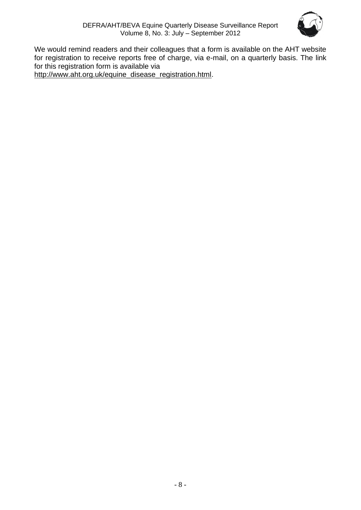

We would remind readers and their colleagues that a form is available on the AHT website for registration to receive reports free of charge, via e-mail, on a quarterly basis. The link for this registration form is available via [http://www.aht.org.uk/equine\\_disease\\_registration.html.](http://www.aht.org.uk/equine_disease_registration.html)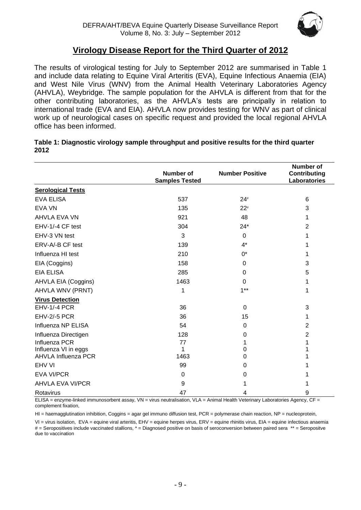

## **Virology Disease Report for the Third Quarter of 2012**

The results of virological testing for July to September 2012 are summarised in Table 1 and include data relating to Equine Viral Arteritis (EVA), Equine Infectious Anaemia (EIA) and West Nile Virus (WNV) from the Animal Health Veterinary Laboratories Agency (AHVLA), Weybridge. The sample population for the AHVLA is different from that for the other contributing laboratories, as the AHVLA's tests are principally in relation to international trade (EVA and EIA). AHVLA now provides testing for WNV as part of clinical work up of neurological cases on specific request and provided the local regional AHVLA office has been informed.

| Table 1: Diagnostic virology sample throughput and positive results for the third quarter |  |
|-------------------------------------------------------------------------------------------|--|
| 2012                                                                                      |  |

|                            | Number of<br><b>Samples Tested</b> | <b>Number Positive</b> | <b>Number of</b><br><b>Contributing</b><br><b>Laboratories</b> |
|----------------------------|------------------------------------|------------------------|----------------------------------------------------------------|
| <b>Serological Tests</b>   |                                    |                        |                                                                |
|                            |                                    |                        |                                                                |
| <b>EVA ELISA</b>           | 537                                | $24*$                  | 6                                                              |
| <b>EVA VN</b>              | 135                                | $22*$                  | 3                                                              |
| AHVLA EVA VN               | 921                                | 48                     | 1                                                              |
| EHV-1/-4 CF test           | 304                                | $24*$                  | $\overline{2}$                                                 |
| EHV-3 VN test              | 3                                  | $\mathbf 0$            |                                                                |
| ERV-A/-B CF test           | 139                                | $4^*$                  |                                                                |
| Influenza HI test          | 210                                | 0*                     |                                                                |
| EIA (Coggins)              | 158                                | $\mathbf 0$            | 3                                                              |
| <b>EIA ELISA</b>           | 285                                | $\mathbf 0$            | 5                                                              |
| AHVLA EIA (Coggins)        | 1463                               | $\Omega$               |                                                                |
| AHVLA WNV (PRNT)           | 1                                  | $1***$                 | 1                                                              |
| <b>Virus Detection</b>     |                                    |                        |                                                                |
| EHV-1/-4 PCR               | 36                                 | 0                      | 3                                                              |
| <b>EHV-2/-5 PCR</b>        | 36                                 | 15                     | 1                                                              |
| Influenza NP ELISA         | 54                                 | 0                      | $\overline{2}$                                                 |
| Influenza Directigen       | 128                                | 0                      | 2                                                              |
| Influenza PCR              | 77                                 |                        |                                                                |
| Influenza VI in eggs       | 1                                  | 0                      |                                                                |
| <b>AHVLA Influenza PCR</b> | 1463                               | 0                      |                                                                |
| EHV VI                     | 99                                 | 0                      |                                                                |
| <b>EVA VI/PCR</b>          | 0                                  | 0                      |                                                                |
| <b>AHVLA EVA VI/PCR</b>    | 9                                  |                        |                                                                |
| Rotavirus                  | 47                                 | 4                      | 9                                                              |

ELISA = enzyme-linked immunosorbent assay, VN = virus neutralisation, VLA = Animal Health Veterinary Laboratories Agency, CF = complement fixation,

HI = haemagglutination inhibition, Coggins = agar gel immuno diffusion test, PCR = polymerase chain reaction, NP = nucleoprotein,

VI = virus isolation, EVA = equine viral arteritis, EHV = equine herpes virus, ERV = equine rhinitis virus, EIA = equine infectious anaemia # = Seropositives include vaccinated stallions, \* = Diagnosed positive on basis of seroconversion between paired sera \*\* = Seropositve due to vaccination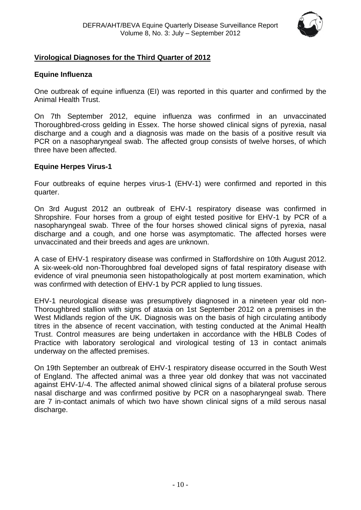

#### <span id="page-9-0"></span>**Virological Diagnoses for the Third Quarter of 2012**

#### **Equine Influenza**

One outbreak of equine influenza (EI) was reported in this quarter and confirmed by the Animal Health Trust.

On 7th September 2012, equine influenza was confirmed in an unvaccinated Thoroughbred-cross gelding in Essex. The horse showed clinical signs of pyrexia, nasal discharge and a cough and a diagnosis was made on the basis of a positive result via PCR on a nasopharyngeal swab. The affected group consists of twelve horses, of which three have been affected.

#### **Equine Herpes Virus-1**

Four outbreaks of equine herpes virus-1 (EHV-1) were confirmed and reported in this quarter.

On 3rd August 2012 an outbreak of EHV-1 respiratory disease was confirmed in Shropshire. Four horses from a group of eight tested positive for EHV-1 by PCR of a nasopharyngeal swab. Three of the four horses showed clinical signs of pyrexia, nasal discharge and a cough, and one horse was asymptomatic. The affected horses were unvaccinated and their breeds and ages are unknown.

A case of EHV-1 respiratory disease was confirmed in Staffordshire on 10th August 2012. A six-week-old non-Thoroughbred foal developed signs of fatal respiratory disease with evidence of viral pneumonia seen histopathologically at post mortem examination, which was confirmed with detection of EHV-1 by PCR applied to lung tissues.

EHV-1 neurological disease was presumptively diagnosed in a nineteen year old non-Thoroughbred stallion with signs of ataxia on 1st September 2012 on a premises in the West Midlands region of the UK. Diagnosis was on the basis of high circulating antibody titres in the absence of recent vaccination, with testing conducted at the Animal Health Trust. Control measures are being undertaken in accordance with the HBLB Codes of Practice with laboratory serological and virological testing of 13 in contact animals underway on the affected premises.

<span id="page-9-1"></span>On 19th September an outbreak of EHV-1 respiratory disease occurred in the South West of England. The affected animal was a three year old donkey that was not vaccinated against EHV-1/-4. The affected animal showed clinical signs of a bilateral profuse serous nasal discharge and was confirmed positive by PCR on a nasopharyngeal swab. There are 7 in-contact animals of which two have shown clinical signs of a mild serous nasal discharge.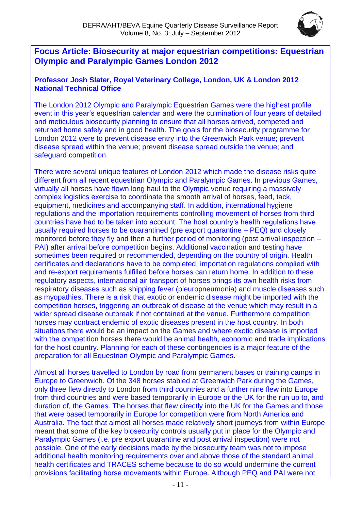

## **Focus Article: Biosecurity at major equestrian competitions: Equestrian Olympic and Paralympic Games London 2012**

#### **Professor Josh Slater, Royal Veterinary College, London, UK & London 2012 National Technical Office**

The London 2012 Olympic and Paralympic Equestrian Games were the highest profile event in this year's equestrian calendar and were the culmination of four years of detailed and meticulous biosecurity planning to ensure that all horses arrived, competed and returned home safely and in good health. The goals for the biosecurity programme for London 2012 were to prevent disease entry into the Greenwich Park venue; prevent disease spread within the venue; prevent disease spread outside the venue; and safeguard competition.

There were several unique features of London 2012 which made the disease risks quite different from all recent equestrian Olympic and Paralympic Games. In previous Games, virtually all horses have flown long haul to the Olympic venue requiring a massively complex logistics exercise to coordinate the smooth arrival of horses, feed, tack, equipment, medicines and accompanying staff. In addition, international hygiene regulations and the importation requirements controlling movement of horses from third countries have had to be taken into account. The host country's health regulations have usually required horses to be quarantined (pre export quarantine – PEQ) and closely monitored before they fly and then a further period of monitoring (post arrival inspection – PAI) after arrival before competition begins. Additional vaccination and testing have sometimes been required or recommended, depending on the country of origin. Health certificates and declarations have to be completed, importation regulations complied with and re-export requirements fulfilled before horses can return home. In addition to these regulatory aspects, international air transport of horses brings its own health risks from respiratory diseases such as shipping fever (pleuropneumonia) and muscle diseases such as myopathies. There is a risk that exotic or endemic disease might be imported with the competition horses, triggering an outbreak of disease at the venue which may result in a wider spread disease outbreak if not contained at the venue. Furthermore competition horses may contract endemic of exotic diseases present in the host country. In both situations there would be an impact on the Games and where exotic disease is imported with the competition horses there would be animal health, economic and trade implications for the host country. Planning for each of these contingencies is a major feature of the preparation for all Equestrian Olympic and Paralympic Games.

Almost all horses travelled to London by road from permanent bases or training camps in Europe to Greenwich. Of the 348 horses stabled at Greenwich Park during the Games, only three flew directly to London from third countries and a further nine flew into Europe from third countries and were based temporarily in Europe or the UK for the run up to, and duration of, the Games. The horses that flew directly into the UK for the Games and those that were based temporarily in Europe for competition were from North America and Australia. The fact that almost all horses made relatively short journeys from within Europe meant that some of the key biosecurity controls usually put in place for the Olympic and Paralympic Games (i.e. pre export quarantine and post arrival inspection) were not possible. One of the early decisions made by the biosecurity team was not to impose additional health monitoring requirements over and above those of the standard animal health certificates and TRACES scheme because to do so would undermine the current provisions facilitating horse movements within Europe. Although PEQ and PAI were not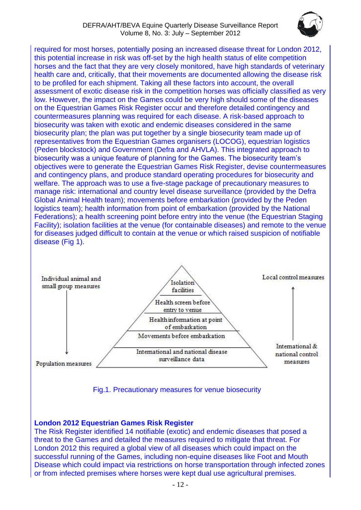

required for most horses, potentially posing an increased disease threat for London 2012, this potential increase in risk was off-set by the high health status of elite competition horses and the fact that they are very closely monitored, have high standards of veterinary health care and, critically, that their movements are documented allowing the disease risk to be profiled for each shipment. Taking all these factors into account, the overall assessment of exotic disease risk in the competition horses was officially classified as very low. However, the impact on the Games could be very high should some of the diseases on the Equestrian Games Risk Register occur and therefore detailed contingency and countermeasures planning was required for each disease. A risk-based approach to biosecurity was taken with exotic and endemic diseases considered in the same biosecurity plan; the plan was put together by a single biosecurity team made up of representatives from the Equestrian Games organisers (LOCOG), equestrian logistics (Peden blockstock) and Government (Defra and AHVLA). This integrated approach to biosecurity was a unique feature of planning for the Games. The biosecurity team's objectives were to generate the Equestrian Games Risk Register, devise countermeasures and contingency plans, and produce standard operating procedures for biosecurity and welfare. The approach was to use a five-stage package of precautionary measures to manage risk: international and country level disease surveillance (provided by the Defra Global Animal Health team); movements before embarkation (provided by the Peden logistics team); health information from point of embarkation (provided by the National Federations); a health screening point before entry into the venue (the Equestrian Staging Facility); isolation facilities at the venue (for containable diseases) and remote to the venue for diseases judged difficult to contain at the venue or which raised suspicion of notifiable disease (Fig 1).



#### Fig.1. Precautionary measures for venue biosecurity

#### **London 2012 Equestrian Games Risk Register**

The Risk Register identified 14 notifiable (exotic) and endemic diseases that posed a threat to the Games and detailed the measures required to mitigate that threat. For London 2012 this required a global view of all diseases which could impact on the successful running of the Games, including non-equine diseases like Foot and Mouth Disease which could impact via restrictions on horse transportation through infected zones or from infected premises where horses were kept dual use agricultural premises.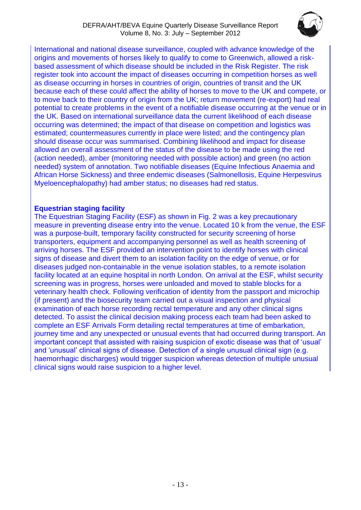

International and national disease surveillance, coupled with advance knowledge of the origins and movements of horses likely to qualify to come to Greenwich, allowed a riskbased assessment of which disease should be included in the Risk Register. The risk register took into account the impact of diseases occurring in competition horses as well as disease occurring in horses in countries of origin, countries of transit and the UK because each of these could affect the ability of horses to move to the UK and compete, or to move back to their country of origin from the UK; return movement (re-export) had real potential to create problems in the event of a notifiable disease occurring at the venue or in the UK. Based on international surveillance data the current likelihood of each disease occurring was determined; the impact of that disease on competition and logistics was estimated; countermeasures currently in place were listed; and the contingency plan should disease occur was summarised. Combining likelihood and impact for disease allowed an overall assessment of the status of the disease to be made using the red (action needed), amber (monitoring needed with possible action) and green (no action needed) system of annotation. Two notifiable diseases (Equine Infectious Anaemia and African Horse Sickness) and three endemic diseases (Salmonellosis, Equine Herpesvirus Myeloencephalopathy) had amber status; no diseases had red status.

#### **Equestrian staging facility**

The Equestrian Staging Facility (ESF) as shown in Fig. 2 was a key precautionary measure in preventing disease entry into the venue. Located 10 k from the venue, the ESF was a purpose-built, temporary facility constructed for security screening of horse transporters, equipment and accompanying personnel as well as health screening of arriving horses. The ESF provided an intervention point to identify horses with clinical signs of disease and divert them to an isolation facility on the edge of venue, or for diseases judged non-containable in the venue isolation stables, to a remote isolation facility located at an equine hospital in north London. On arrival at the ESF, whilst security screening was in progress, horses were unloaded and moved to stable blocks for a veterinary health check. Following verification of identity from the passport and microchip (if present) and the biosecurity team carried out a visual inspection and physical examination of each horse recording rectal temperature and any other clinical signs detected. To assist the clinical decision making process each team had been asked to complete an ESF Arrivals Form detailing rectal temperatures at time of embarkation, journey time and any unexpected or unusual events that had occurred during transport. An important concept that assisted with raising suspicion of exotic disease was that of 'usual' and 'unusual' clinical signs of disease. Detection of a single unusual clinical sign (e.g. haemorrhagic discharges) would trigger suspicion whereas detection of multiple unusual clinical signs would raise suspicion to a higher level.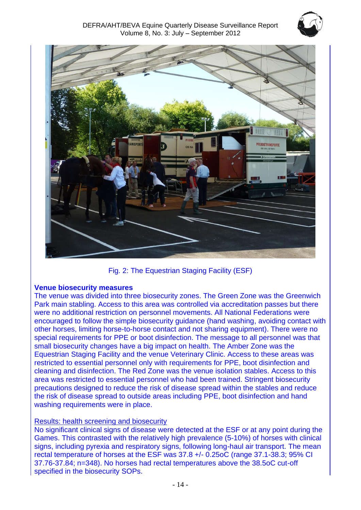



Fig. 2: The Equestrian Staging Facility (ESF)

#### **Venue biosecurity measures**

The venue was divided into three biosecurity zones. The Green Zone was the Greenwich Park main stabling. Access to this area was controlled via accreditation passes but there were no additional restriction on personnel movements. All National Federations were encouraged to follow the simple biosecurity guidance (hand washing, avoiding contact with other horses, limiting horse-to-horse contact and not sharing equipment). There were no special requirements for PPE or boot disinfection. The message to all personnel was that small biosecurity changes have a big impact on health. The Amber Zone was the Equestrian Staging Facility and the venue Veterinary Clinic. Access to these areas was restricted to essential personnel only with requirements for PPE, boot disinfection and cleaning and disinfection. The Red Zone was the venue isolation stables. Access to this area was restricted to essential personnel who had been trained. Stringent biosecurity precautions designed to reduce the risk of disease spread within the stables and reduce the risk of disease spread to outside areas including PPE, boot disinfection and hand washing requirements were in place.

#### Results: health screening and biosecurity

No significant clinical signs of disease were detected at the ESF or at any point during the Games. This contrasted with the relatively high prevalence (5-10%) of horses with clinical signs, including pyrexia and respiratory signs, following long-haul air transport. The mean rectal temperature of horses at the ESF was 37.8 +/- 0.25oC (range 37.1-38.3; 95% CI 37.76-37.84; n=348). No horses had rectal temperatures above the 38.5oC cut-off specified in the biosecurity SOPs.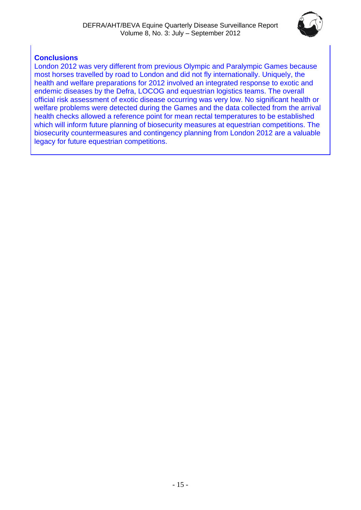

### **Conclusions**

London 2012 was very different from previous Olympic and Paralympic Games because most horses travelled by road to London and did not fly internationally. Uniquely, the health and welfare preparations for 2012 involved an integrated response to exotic and endemic diseases by the Defra, LOCOG and equestrian logistics teams. The overall official risk assessment of exotic disease occurring was very low. No significant health or welfare problems were detected during the Games and the data collected from the arrival health checks allowed a reference point for mean rectal temperatures to be established which will inform future planning of biosecurity measures at equestrian competitions. The biosecurity countermeasures and contingency planning from London 2012 are a valuable legacy for future equestrian competitions.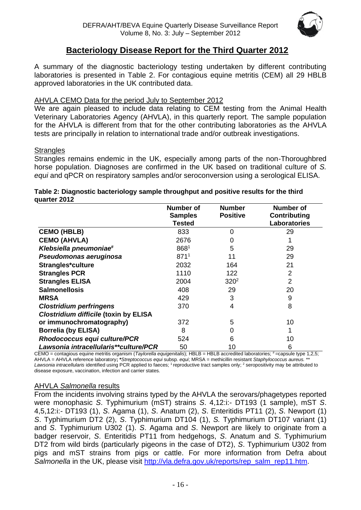

## **Bacteriology Disease Report for the Third Quarter 2012**

A summary of the diagnostic bacteriology testing undertaken by different contributing laboratories is presented in Table 2. For contagious equine metritis (CEM) all 29 HBLB approved laboratories in the UK contributed data.

#### AHVLA CEMO Data for the period July to September 2012

We are again pleased to include data relating to CEM testing from the Animal Health Veterinary Laboratories Agency (AHVLA), in this quarterly report. The sample population for the AHVLA is different from that for the other contributing laboratories as the AHVLA tests are principally in relation to international trade and/or outbreak investigations.

#### **Strangles**

Strangles remains endemic in the UK, especially among parts of the non-Thoroughbred horse population. Diagnoses are confirmed in the UK based on traditional culture of *S. equi* and qPCR on respiratory samples and/or seroconversion using a serological ELISA.

#### **Table 2: Diagnostic bacteriology sample throughput and positive results for the third quarter 2012**

|                                              | Number of        | <b>Number</b>   | <b>Number of</b> |
|----------------------------------------------|------------------|-----------------|------------------|
|                                              | <b>Samples</b>   | <b>Positive</b> | Contributing     |
|                                              | Tested           |                 | Laboratories     |
| <b>CEMO (HBLB)</b>                           | 833              | $\Omega$        | 29               |
| <b>CEMO (AHVLA)</b>                          | 2676             | 0               |                  |
| Klebsiella pneumoniae#                       | 8681             | 5               | 29               |
| Pseudomonas aeruginosa                       | 871 <sup>1</sup> | 11              | 29               |
| Strangles*culture                            | 2032             | 164             | 21               |
| <b>Strangles PCR</b>                         | 1110             | 122             | 2                |
| <b>Strangles ELISA</b>                       | 2004             | $320^2$         | $\overline{2}$   |
| <b>Salmonellosis</b>                         | 408              | 29              | 20               |
| <b>MRSA</b>                                  | 429              | 3               | 9                |
| <b>Clostridium perfringens</b>               | 370              | 4               | 8                |
| <b>Clostridium difficile (toxin by ELISA</b> |                  |                 |                  |
| or immunochromatography)                     | 372              | 5               | 10               |
| <b>Borrelia (by ELISA)</b>                   | 8                | 0               |                  |
| Rhodococcus equi culture/PCR                 | 524              | 6               | 10               |
| Lawsonia intracellularis**culture/PCR        | 50               | 10              | 6                |

CEMO = contagious equine metritis organism (*Taylorella equigenitalis*); HBLB = HBLB accredited laboratories; #=capsule type 1,2,5; AHVLA = AHVLA reference laboratory**; \****Streptococcus equi* subsp*. equi*; MRSA = methicillin resistant *Staphylococcus aureus.* \*\* Lawsonia intracellularis identified using PCR applied to faeces; <sup>1</sup> reproductive tract samples only; <sup>2</sup> seropositivity may be attributed to disease exposure, vaccination, infection and carrier states.

#### AHVLA *Salmonella* results

From the incidents involving strains typed by the AHVLA the serovars/phagetypes reported were monophasic *S*. Typhimurium (mST) strains *S*. 4,12:i:- DT193 (1 sample), mST *S*. 4,5,12:i:- DT193 (1), *S*. Agama (1), *S*. Anatum (2), *S*. Enteritidis PT11 (2), *S*. Newport (1) *S*. Typhimurium DT2 (2), *S*. Typhimurium DT104 (1), *S.* Typhimurium DT107 variant (1) and *S*. Typhimurium U302 (1). *S*. Agama and *S*. Newport are likely to originate from a badger reservoir, *S*. Enteritidis PT11 from hedgehogs, *S*. Anatum and *S*. Typhimurium DT2 from wild birds (particularly pigeons in the case of DT2), *S*. Typhimurium U302 from pigs and mST strains from pigs or cattle. For more information from Defra about *Salmonella* in the UK, please visit [http://vla.defra.gov.uk/reports/rep\\_salm\\_rep11.htm.](http://vla.defra.gov.uk/reports/rep_salm_rep11.htm)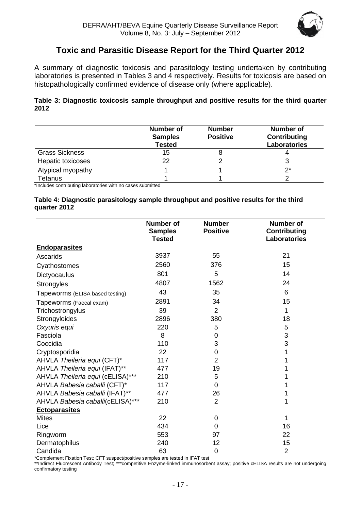

## **Toxic and Parasitic Disease Report for the Third Quarter 2012**

<span id="page-16-0"></span>A summary of diagnostic toxicosis and parasitology testing undertaken by contributing laboratories is presented in Tables 3 and 4 respectively. Results for toxicosis are based on histopathologically confirmed evidence of disease only (where applicable).

#### **Table 3: Diagnostic toxicosis sample throughput and positive results for the third quarter 2012**

|                       | <b>Number of</b><br><b>Samples</b><br><b>Tested</b> | <b>Number</b><br><b>Positive</b> | <b>Number of</b><br>Contributing<br><b>Laboratories</b> |
|-----------------------|-----------------------------------------------------|----------------------------------|---------------------------------------------------------|
| <b>Grass Sickness</b> | 15                                                  |                                  |                                                         |
| Hepatic toxicoses     | 22                                                  |                                  |                                                         |
| Atypical myopathy     |                                                     |                                  | $2^*$                                                   |
| Tetanus               |                                                     |                                  |                                                         |

\*Includes contributing laboratories with no cases submitted

#### **Table 4: Diagnostic parasitology sample throughput and positive results for the third quarter 2012**

|                                  | <b>Number of</b><br><b>Samples</b><br><b>Tested</b> | <b>Number</b><br><b>Positive</b> | <b>Number of</b><br><b>Contributing</b><br><b>Laboratories</b> |
|----------------------------------|-----------------------------------------------------|----------------------------------|----------------------------------------------------------------|
| <b>Endoparasites</b>             |                                                     |                                  |                                                                |
| Ascarids                         | 3937                                                | 55                               | 21                                                             |
| Cyathostomes                     | 2560                                                | 376                              | 15                                                             |
| Dictyocaulus                     | 801                                                 | 5                                | 14                                                             |
| Strongyles                       | 4807                                                | 1562                             | 24                                                             |
| Tapeworms (ELISA based testing)  | 43                                                  | 35                               | 6                                                              |
| Tapeworms (Faecal exam)          | 2891                                                | 34                               | 15                                                             |
| Trichostrongylus                 | 39                                                  | $\overline{2}$                   | 1                                                              |
| Strongyloides                    | 2896                                                | 380                              | 18                                                             |
| Oxyuris equi                     | 220                                                 | 5                                | 5                                                              |
| Fasciola                         | 8                                                   | 0                                | 3                                                              |
| Coccidia                         | 110                                                 | 3                                | 3                                                              |
| Cryptosporidia                   | 22                                                  | 0                                | 1                                                              |
| AHVLA Theileria equi (CFT)*      | 117                                                 | $\overline{2}$                   |                                                                |
| AHVLA Theileria equi (IFAT)**    | 477                                                 | 19                               |                                                                |
| AHVLA Theileria equi (cELISA)*** | 210                                                 | 5                                |                                                                |
| AHVLA Babesia caballi (CFT)*     | 117                                                 | 0                                |                                                                |
| AHVLA Babesia caballi (IFAT)**   | 477                                                 | 26                               |                                                                |
| AHVLA Babesia caballi(cELISA)*** | 210                                                 | $\overline{2}$                   | 1                                                              |
| <b>Ectoparasites</b>             |                                                     |                                  |                                                                |
| <b>Mites</b>                     | 22                                                  | 0                                | 1                                                              |
| Lice                             | 434                                                 | 0                                | 16                                                             |
| Ringworm                         | 553                                                 | 97                               | 22                                                             |
| Dermatophilus                    | 240                                                 | 12                               | 15                                                             |
| Candida                          | 63                                                  | $\mathbf 0$                      | $\overline{2}$                                                 |

\*Complement Fixation Test; CFT suspect/positive samples are tested in IFAT test

\*\*Indirect Fluorescent Antibody Test; \*\*\*competitive Enzyme-linked immunosorbent assay; positive cELISA results are not undergoing confirmatory testing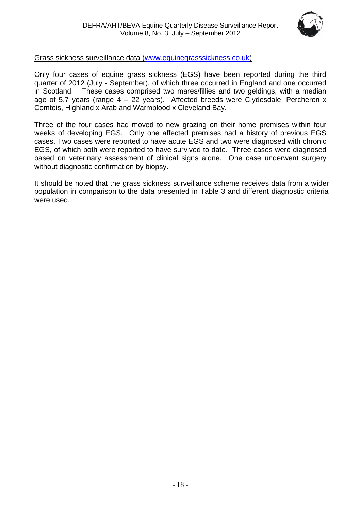

#### Grass sickness surveillance data [\(www.equinegrasssickness.co.uk\)](http://www.equinegrasssickness.co.uk/)

Only four cases of equine grass sickness (EGS) have been reported during the third quarter of 2012 (July - September), of which three occurred in England and one occurred in Scotland. These cases comprised two mares/fillies and two geldings, with a median age of 5.7 years (range  $4 - 22$  years). Affected breeds were Clydesdale, Percheron x Comtois, Highland x Arab and Warmblood x Cleveland Bay.

Three of the four cases had moved to new grazing on their home premises within four weeks of developing EGS. Only one affected premises had a history of previous EGS cases. Two cases were reported to have acute EGS and two were diagnosed with chronic EGS, of which both were reported to have survived to date. Three cases were diagnosed based on veterinary assessment of clinical signs alone. One case underwent surgery without diagnostic confirmation by biopsy.

It should be noted that the grass sickness surveillance scheme receives data from a wider population in comparison to the data presented in Table 3 and different diagnostic criteria were used.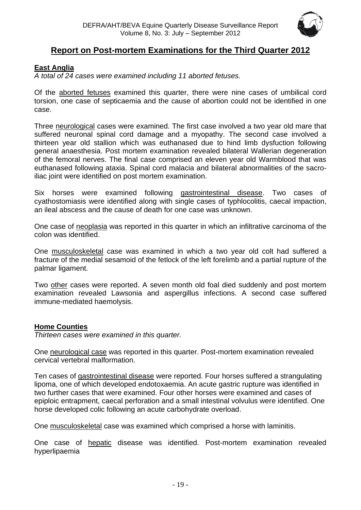

## **Report on Post-mortem Examinations for the Third Quarter 2012**

#### <span id="page-18-0"></span>**East Anglia**

*A total of 24 cases were examined including 11 aborted fetuses.*

Of the aborted fetuses examined this quarter, there were nine cases of umbilical cord torsion, one case of septicaemia and the cause of abortion could not be identified in one case.

Three neurological cases were examined. The first case involved a two year old mare that suffered neuronal spinal cord damage and a myopathy. The second case involved a thirteen year old stallion which was euthanased due to hind limb dysfuction following general anaesthesia. Post mortem examination revealed bilateral Wallerian degeneration of the femoral nerves. The final case comprised an eleven year old Warmblood that was euthanased following ataxia. Spinal cord malacia and bilateral abnormalities of the sacroiliac joint were identified on post mortem examination.

Six horses were examined following gastrointestinal disease. Two cases of cyathostomiasis were identified along with single cases of typhlocolitis, caecal impaction, an ileal abscess and the cause of death for one case was unknown.

One case of neoplasia was reported in this quarter in which an infiltrative carcinoma of the colon was identified.

One musculoskeletal case was examined in which a two year old colt had suffered a fracture of the medial sesamoid of the fetlock of the left forelimb and a partial rupture of the palmar ligament.

Two other cases were reported. A seven month old foal died suddenly and post mortem examination revealed Lawsonia and aspergillus infections. A second case suffered immune-mediated haemolysis.

#### <span id="page-18-1"></span>**Home Counties**

*Thirteen cases were examined in this quarter.*

One neurological case was reported in this quarter. Post-mortem examination revealed cervical vertebral malformation.

Ten cases of gastrointestinal disease were reported. Four horses suffered a strangulating lipoma, one of which developed endotoxaemia. An acute gastric rupture was identified in two further cases that were examined. Four other horses were examined and cases of epiploic entrapment, caecal perforation and a small intestinal volvulus were identified. One horse developed colic following an acute carbohydrate overload.

One musculoskeletal case was examined which comprised a horse with laminitis.

One case of hepatic disease was identified. Post-mortem examination revealed hyperlipaemia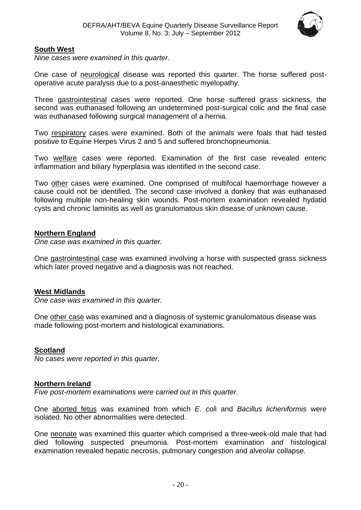

#### <span id="page-19-0"></span>**South West**

*Nine cases were examined in this quarter*.

One case of neurological disease was reported this quarter. The horse suffered postoperative acute paralysis due to a post-anaesthetic myelopathy.

Three gastrointestinal cases were reported. One horse suffered grass sickness, the second was euthanased following an undetermined post-surgical colic and the final case was euthanased following surgical management of a hernia.

Two respiratory cases were examined. Both of the animals were foals that had tested positive to Equine Herpes Virus 2 and 5 and suffered bronchopneumonia.

Two welfare cases were reported. Examination of the first case revealed enteric inflammation and biliary hyperplasia was identified in the second case.

Two other cases were examined. One comprised of multifocal haemorrhage however a cause could not be identified. The second case involved a donkey that was euthanased following multiple non-healing skin wounds. Post-mortem examination revealed hydatid cysts and chronic laminitis as well as granulomatous skin disease of unknown cause.

#### <span id="page-19-1"></span>**Northern England**

*One case was examined in this quarter.*

One gastrointestinal case was examined involving a horse with suspected grass sickness which later proved negative and a diagnosis was not reached.

#### <span id="page-19-2"></span>**West Midlands**

*One case was examined in this quarter.*

One other case was examined and a diagnosis of systemic granulomatous disease was made following post-mortem and histological examinations.

#### <span id="page-19-3"></span>**Scotland**

*No cases were reported in this quarter*.

#### <span id="page-19-4"></span>**Northern Ireland**

*Five post-mortem examinations were carried out in this quarter.*

One aborted fetus was examined from which *E. col*i and *Bacillus licheniformis* were isolated. No other abnormalities were detected.

One neonate was examined this quarter which comprised a three-week-old male that had died following suspected pneumonia. Post-mortem examination and histological examination revealed hepatic necrosis, pulmonary congestion and alveolar collapse.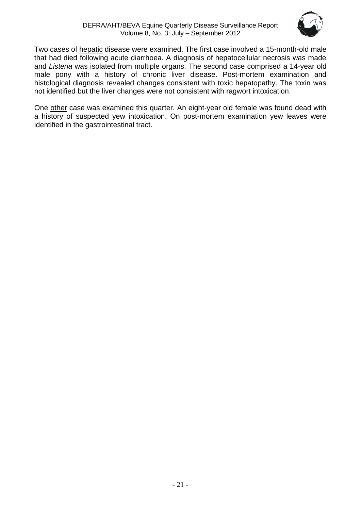

Two cases of hepatic disease were examined. The first case involved a 15-month-old male that had died following acute diarrhoea. A diagnosis of hepatocellular necrosis was made and *Listeria* was isolated from multiple organs. The second case comprised a 14-year old male pony with a history of chronic liver disease. Post-mortem examination and histological diagnosis revealed changes consistent with toxic hepatopathy. The toxin was not identified but the liver changes were not consistent with ragwort intoxication.

One other case was examined this quarter. An eight-year old female was found dead with a history of suspected yew intoxication. On post-mortem examination yew leaves were identified in the gastrointestinal tract.